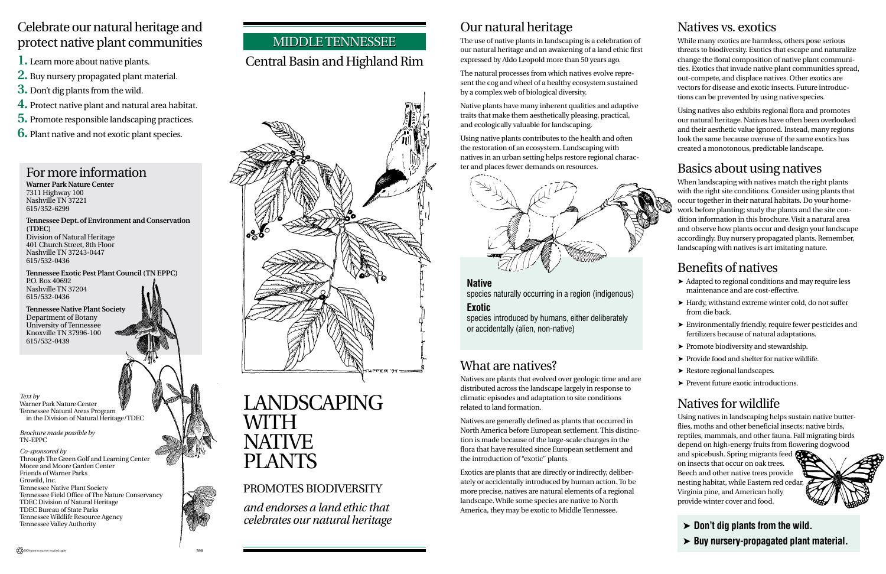# Our natural heritage

The use of native plants in landscaping is a celebration of our natural heritage and an awakening of a land ethic first expressed by Aldo Leopold more than 50 years ago.

The natural processes from which natives evolve represent the cog and wheel of a healthy ecosystem sustained by a complex web of biological diversity.

Native plants have many inherent qualities and adaptive traits that make them aesthetically pleasing, practical, and ecologically valuable for landscaping.

Using native plants contributes to the health and often the restoration of an ecosystem. Landscaping with natives in an urban setting helps restore regional charac-



**Warner Park Nature Center** 7311 Highway 100 Nashville TN 37221 615/352-6299

**Tennessee Dept. of Environment and Conservation (TDEC)** Division of Natural Heritage 401 Church Street, 8th Floor Nashville TN 37243-0447 615/532-0436

**Tennessee Exotic Pest Plant Council (TN EPPC)** P.O. Box 40692 Nashville TN 37204 615/532-0436

**Tennessee Native Plant Society** Department of Botany University of Tennessee Knoxville TN 37996-100 615/532-0439

#### MIDDLE TENNESSEE

#### Celebrate our natural heritage and protect native plant communities

- **1.** Learn more about native plants.
- **2.** Buy nursery propagated plant material.
- **3.** Don't dig plants from the wild.
- **4.** Protect native plant and natural area habitat.
- **5.** Promote responsible landscaping practices.
- **6.** Plant native and not exotic plant species.

### Central Basin and Highland Rim

# LANDSCAPING WITH **NATIVE** PLANTS

#### PROMOTES BIODIVERSITY

*and endorses a land ethic that celebrates our natural heritage*

### What are natives?

Natives are plants that evolved over geologic time and are distributed across the landscape largely in response to climatic episodes and adaptation to site conditions related to land formation.

Natives are generally defined as plants that occurred in North America before European settlement. This distinction is made because of the large-scale changes in the flora that have resulted since European settlement and the introduction of "exotic" plants.

Exotics are plants that are directly or indirectly, deliberately or accidentally introduced by human action. To be more precise, natives are natural elements of a regional landscape. While some species are native to North America, they may be exotic to Middle Tennessee.

**Native**

species naturally occurring in a region (indigenous)

#### **Exotic**

species introduced by humans, either deliberately or accidentally (alien, non-native)

### Natives vs. exotics

While many exotics are harmless, others pose serious threats to biodiversity. Exotics that escape and naturalize change the floral composition of native plant communities. Exotics that invade native plant communities spread, out-compete, and displace natives. Other exotics are vectors for disease and exotic insects. Future introductions can be prevented by using native species.

Using natives also exhibits regional flora and promotes our natural heritage. Natives have often been overlooked and their aesthetic value ignored. Instead, many regions look the same because overuse of the same exotics has created a monotonous, predictable landscape.

### Basics about using natives



When landscaping with natives match the right plants with the right site conditions. Consider using plants that occur together in their natural habitats. Do your homework before planting; study the plants and the site condition information in this brochure. Visit a natural area and observe how plants occur and design your landscape accordingly. Buy nursery propagated plants. Remember, landscaping with natives is art imitating nature.

### Benefits of natives

- ➤ Adapted to regional conditions and may require less maintenance and are cost-effective.
- ➤ Hardy, withstand extreme winter cold, do not suffer from die back.
- ➤ Environmentally friendly, require fewer pesticides and fertilizers because of natural adaptations.
- ➤ Promote biodiversity and stewardship.
- ➤ Provide food and shelter for native wildlife.
- ➤ Restore regional landscapes.
- ➤ Prevent future exotic introductions.

### Natives for wildlife

Using natives in landscaping helps sustain native butterflies, moths and other beneficial insects; native birds, reptiles, mammals, and other fauna. Fall migrating birds depend on high-energy fruits from flowering dogwood

and spicebush. Spring migrants feed on insects that occur on oak trees. Beech and other native trees provide nesting habitat, while Eastern red cedar, Virginia pine, and American holly provide winter cover and food.



➤ **Don't dig plants from the wild.** ➤ **Buy nursery-propagated plant material.**

*Text by* Warner Park Nature Center Tennessee Natural Areas Program in the Division of Natural Heritage/TDEC

*Brochure made possible by* TN-EPPC

*Co-sponsored by* Through The Green Golf and Learning Center Moore and Moore Garden Center Friends of Warner Parks Growild, Inc. Tennessee Native Plant Society Tennessee Field Office of The Nature Conservancy TDEC Division of Natural Heritage TDEC Bureau of State Parks Tennessee Wildlife Resource Agency Tennessee Valley Authority

100% post-consumer recycled paper **598**